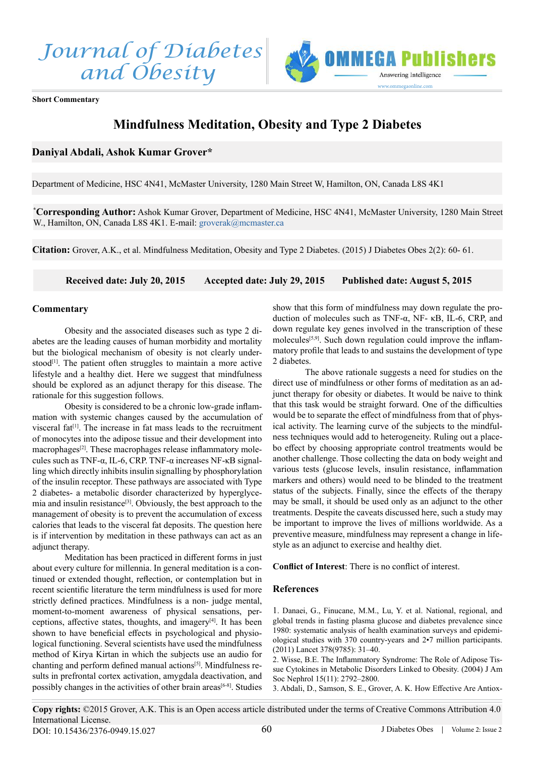



**Short Commentary**

## **Mindfulness Meditation, Obesity and Type 2 Diabetes**

## **Daniyal Abdali, Ashok Kumar Grover\***

Department of Medicine, HSC 4N41, McMaster University, 1280 Main Street W, Hamilton, ON, Canada L8S 4K1

**\* Corresponding Author:** Ashok Kumar Grover, Department of Medicine, HSC 4N41, McMaster University, 1280 Main Street W., Hamilton, ON, Canada L8S 4K1. E-mail: [groverak@mcmaster.ca](mailto:groverak%40mcmaster.ca?subject=)

**Citation:** Grover, A.K., et al. Mindfulness Meditation, Obesity and Type 2 Diabetes. (2015) J Diabetes Obes 2(2): 60- 61.

**Received date: July 20, 2015 Accepted date: July 29, 2015 Published date: August 5, 2015**

## **Commentary**

Obesity and the associated diseases such as type 2 diabetes are the leading causes of human morbidity and mortality but the biological mechanism of obesity is not clearly under-stood<sup>[\[1\]](#page-0-0)</sup>. The patient often struggles to maintain a more active lifestyle and a healthy diet. Here we suggest that mindfulness should be explored as an adjunct therapy for this disease. The rationale for this suggestion follows.

 Obesity is considered to be a chronic low-grade inflammation with systemic changes caused by the accumulation of visceral fat<sup>[1]</sup>. The increase in fat mass leads to the recruitment of monocytes into the adipose tissue and their development into macrophages<sup>[\[2\]](#page-0-1)</sup>. These macrophages release inflammatory molecules such as TNF-α, IL-6, CRP. TNF-α increases NF-κB signalling which directly inhibits insulin signalling by phosphorylation of the insulin receptor. These pathways are associated with Type 2 diabetes- a metabolic disorder characterized by hyperglycemia and insulin resistanc[e\[3\]](#page-0-2). Obviously, the best approach to the management of obesity is to prevent the accumulation of excess calories that leads to the visceral fat deposits. The question here is if intervention by meditation in these pathways can act as an adjunct therapy.

 Meditation has been practiced in different forms in just about every culture for millennia. In general meditation is a continued or extended thought, reflection, or contemplation but in recent scientific literature the term mindfulness is used for more strictly defined practices. Mindfulness is a non- judge mental, moment-to-moment awareness of physical sensations, perceptions, affective states, thoughts, and imagery[\[4\]](#page-1-0). It has been shown to have beneficial effects in psychological and physiological functioning. Several scientists have used the mindfulness method of Kirya Kirtan in which the subjects use an audio for chanting and perform defined manual actions[\[5\]](#page-1-1). Mindfulness results in prefrontal cortex activation, amygdala deactivation, and possibly changes in the activities of other brain areas<sup>[\[6-8\]](#page-1-2)</sup>. Studies

show that this form of mindfulness may down regulate the production of molecules such as TNF-α, NF- κB, IL-6, CRP, and down regulate key genes involved in the transcription of these molecules<sup>[5,9]</sup>. Such down regulation could improve the inflammatory profile that leads to and sustains the development of type 2 diabetes.

The above rationale suggests a need for studies on the direct use of mindfulness or other forms of meditation as an adjunct therapy for obesity or diabetes. It would be naive to think that this task would be straight forward. One of the difficulties would be to separate the effect of mindfulness from that of physical activity. The learning curve of the subjects to the mindfulness techniques would add to heterogeneity. Ruling out a placebo effect by choosing appropriate control treatments would be another challenge. Those collecting the data on body weight and various tests (glucose levels, insulin resistance, inflammation markers and others) would need to be blinded to the treatment status of the subjects. Finally, since the effects of the therapy may be small, it should be used only as an adjunct to the other treatments. Despite the caveats discussed here, such a study may be important to improve the lives of millions worldwide. As a preventive measure, mindfulness may represent a change in lifestyle as an adjunct to exercise and healthy diet.

**Conflict of Interest**: There is no conflict of interest.

## **References**

<span id="page-0-0"></span>[1. Danaei, G., Finucane, M.M., Lu, Y. et al. National, regional, and](http://www.ncbi.nlm.nih.gov/pubmed/21705069) [global trends in fasting plasma glucose and diabetes prevalence since](http://www.ncbi.nlm.nih.gov/pubmed/21705069) [1980: systematic analysis of health examination surveys and epidemi](http://www.ncbi.nlm.nih.gov/pubmed/21705069)[ological studies with 370 country-years and 2•7 million participants.](http://www.ncbi.nlm.nih.gov/pubmed/21705069) [\(2011\) Lancet 378\(9785\): 31–40.](http://www.ncbi.nlm.nih.gov/pubmed/21705069)

<span id="page-0-1"></span>2. Wisse, B.E. The [Inflammatory](http://www.ncbi.nlm.nih.gov/pubmed/15504932) Syndrome: The Role of Adipose Tis[sue Cytokines in Metabolic Disorders Linked to Obesity. \(2004\) J Am](http://www.ncbi.nlm.nih.gov/pubmed/15504932) [Soc Nephrol 15\(11\): 2792–2800.](http://www.ncbi.nlm.nih.gov/pubmed/15504932)

<span id="page-0-2"></span>3. Abdali, D., Samson, S. E., Grover, A. K. How [Effective](http://www.ncbi.nlm.nih.gov/pubmed/25791371) Are Antiox-

J Diabetes Obes | Volume 2: Issue 2 **Copy rights:** ©2015 Grover, A.K. This is an Open access article distributed under the terms of Creative Commons Attribution 4.0 International License. 60 DOI: 10.15436/2376-0949.15.027